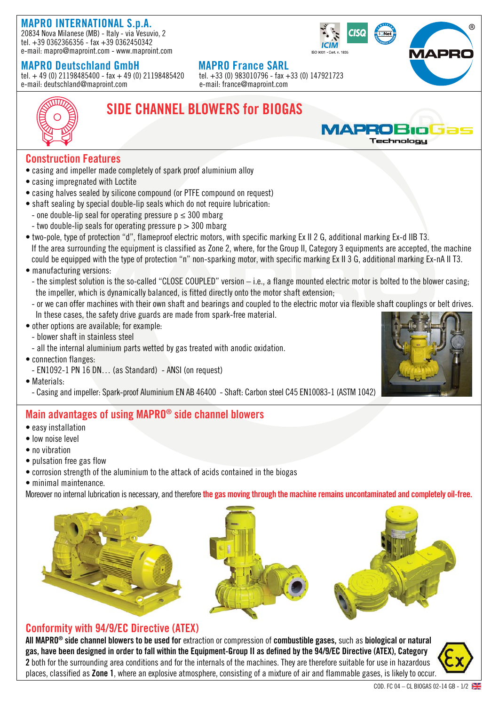# **MAPRO INTERNATIONAL S.p.A.**

20834 Nova Milanese (MB) - Italy - via Vesuvio, 2 tel. +39 0362366356 - fax +39 0362450342 e-mail: mapro@maproint.com - www.maproint.com

**MAPRO Deutschland GmbH**<br>tel. + 49 (0) 21198485400 - fax + 49 (0) 21198485420 tel. +33 (0) 983010796 - fax +33 (0) 147921723 tel.  $+49(0)$  21198485400 - fax  $+49(0)$  21198485420 e-mail: deutschland@maproint.com e-mail: france@maproint.com





# **SIDE CHANNEL BLOWERS for BIOGAS**



### **Construction Features**

- casing and impeller made completely of spark proof aluminium alloy
- casing impregnated with Loctite
- casing halves sealed by silicone compound (or PTFE compound on request)
- shaft sealing by special double-lip seals which do not require lubrication:
- one double-lip seal for operating pressure  $p \leq 300$  mbarg
- two double-lip seals for operating pressure  $p > 300$  mbarg
- two-pole, type of protection "d", flameproof electric motors, with specific marking Ex II 2 G, additional marking Ex-d IIB T3. If the area surrounding the equipment is classified as Zone 2, where, for the Group II, Category 3 equipments are accepted, the machine could be equipped with the type of protection "n" non-sparking motor, with specific marking Ex II 3 G, additional marking Ex-nA II T3.
- manufacturing versions:
	- the simplest solution is the so-called "CLOSE COUPLED" version i.e., a flange mounted electric motor is bolted to the blower casing; the impeller, which is dynamically balanced, is fitted directly onto the motor shaft extension;
	- or we can offer machines with their own shaft and bearings and coupled to the electric motor via flexible shaft couplings or belt drives. In these cases, the safety drive guards are made from spark-free material.
- other options are available; for example:
	- blower shaft in stainless steel
	- all the internal aluminium parts wetted by gas treated with anodic oxidation.
- connection flanges:
	- EN1092-1 PN 16 DN… (as Standard) ANSI (on request)
- Materials:
	- Casing and impeller: Spark-proof Aluminium EN AB 46400 Shaft: Carbon steel C45 EN10083-1 (ASTM 1042)

### **Main advantages of using MAPRO® side channel blowers**

- easy installation
- low noise level
- no vibration
- pulsation free gas flow
- corrosion strength of the aluminium to the attack of acids contained in the biogas
- minimal maintenance.

Moreover no internal lubrication is necessary, and therefore **the gas moving through the machine remains uncontaminated and completely oil-free. p y**



### **Conformity with 94/9/EC Directive (ATEX)**

**All MAPRO® side channel blowers to be used for** extraction or compression of **combustible gases,** such as **biological or natural gas, have been designed in order to fall within the Equipment-Group II as defined by the 94/9/EC Directive (ATEX), Category 2** both for the surrounding area conditions and for the internals of the machines. They are therefore suitable for use in hazardous places, classified as **Zone 1**, where an explosive atmosphere, consisting of a mixture of air and flammable gases, is likely to occur.